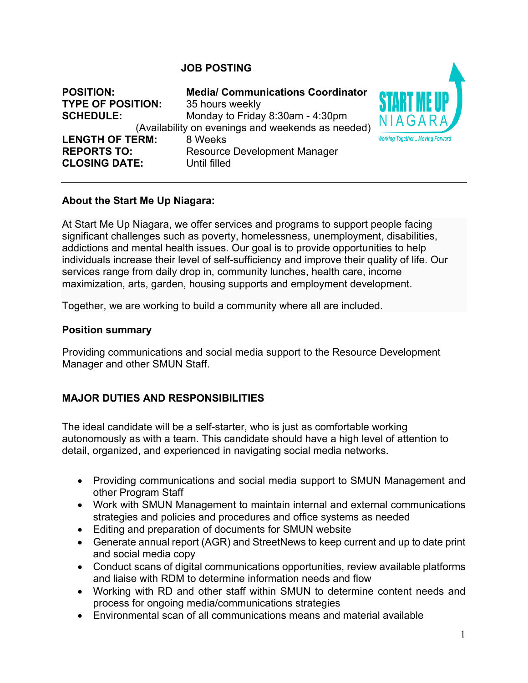### **JOB POSTING**

| <b>POSITION:</b><br><b>TYPE OF POSITION:</b><br><b>SCHEDULE:</b>     | <b>Media/ Communications Coordinator</b><br>35 hours weekly<br>Monday to Friday 8:30am - 4:30pm<br>(Availability on evenings and weekends as needed) | N I.           |
|----------------------------------------------------------------------|------------------------------------------------------------------------------------------------------------------------------------------------------|----------------|
| <b>LENGTH OF TERM:</b><br><b>REPORTS TO:</b><br><b>CLOSING DATE:</b> | 8 Weeks<br><b>Resource Development Manager</b><br>Until filled                                                                                       | <b>Working</b> |

### **About the Start Me Up Niagara:**

At Start Me Up Niagara, we offer services and programs to support people facing significant challenges such as poverty, homelessness, unemployment, disabilities, addictions and mental health issues. Our goal is to provide opportunities to help individuals increase their level of self-sufficiency and improve their quality of life. Our services range from daily drop in, community lunches, health care, income maximization, arts, garden, housing supports and employment development.

Together, we are working to build a community where all are included.

#### **Position summary**

Providing communications and social media support to the Resource Development Manager and other SMUN Staff.

### **MAJOR DUTIES AND RESPONSIBILITIES**

The ideal candidate will be a self-starter, who is just as comfortable working autonomously as with a team. This candidate should have a high level of attention to detail, organized, and experienced in navigating social media networks.

- Providing communications and social media support to SMUN Management and other Program Staff
- Work with SMUN Management to maintain internal and external communications strategies and policies and procedures and office systems as needed
- Editing and preparation of documents for SMUN website
- Generate annual report (AGR) and StreetNews to keep current and up to date print and social media copy
- Conduct scans of digital communications opportunities, review available platforms and liaise with RDM to determine information needs and flow
- Working with RD and other staff within SMUN to determine content needs and process for ongoing media/communications strategies
- Environmental scan of all communications means and material available

Together... Moving Forward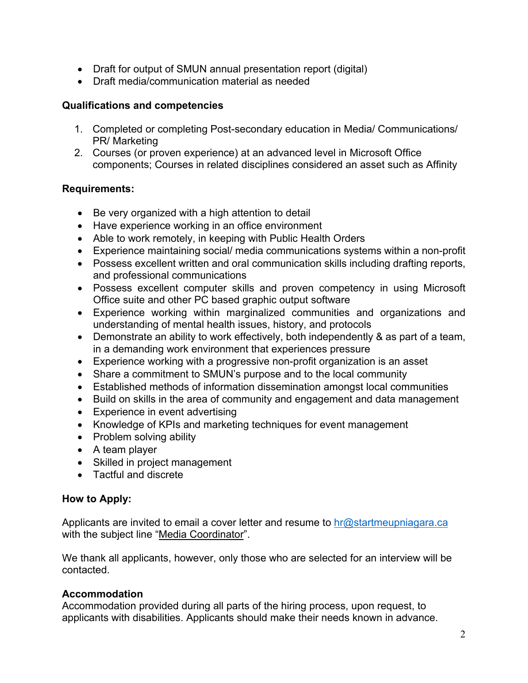- Draft for output of SMUN annual presentation report (digital)
- Draft media/communication material as needed

# **Qualifications and competencies**

- 1. Completed or completing Post-secondary education in Media/ Communications/ PR/ Marketing
- 2. Courses (or proven experience) at an advanced level in Microsoft Office components; Courses in related disciplines considered an asset such as Affinity

### **Requirements:**

- Be very organized with a high attention to detail
- Have experience working in an office environment
- Able to work remotely, in keeping with Public Health Orders
- Experience maintaining social/ media communications systems within a non-profit
- Possess excellent written and oral communication skills including drafting reports, and professional communications
- Possess excellent computer skills and proven competency in using Microsoft Office suite and other PC based graphic output software
- Experience working within marginalized communities and organizations and understanding of mental health issues, history, and protocols
- Demonstrate an ability to work effectively, both independently & as part of a team, in a demanding work environment that experiences pressure
- Experience working with a progressive non-profit organization is an asset
- Share a commitment to SMUN's purpose and to the local community
- Established methods of information dissemination amongst local communities
- Build on skills in the area of community and engagement and data management
- Experience in event advertising
- Knowledge of KPIs and marketing techniques for event management
- Problem solving ability
- A team player
- Skilled in project management
- Tactful and discrete

### **How to Apply:**

Applicants are invited to email a cover letter and resume to  $hr@$  startmeupniagara.ca with the subject line "Media Coordinator".

We thank all applicants, however, only those who are selected for an interview will be contacted.

# **Accommodation**

Accommodation provided during all parts of the hiring process, upon request, to applicants with disabilities. Applicants should make their needs known in advance.